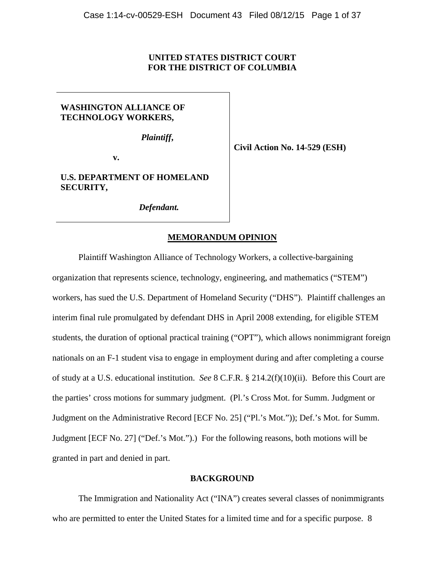# **UNITED STATES DISTRICT COURT FOR THE DISTRICT OF COLUMBIA**

# **WASHINGTON ALLIANCE OF TECHNOLOGY WORKERS,**

*Plaintiff***,**

**v.**

**Civil Action No. 14-529 (ESH)**

# **U.S. DEPARTMENT OF HOMELAND SECURITY,**

*Defendant.*

# **MEMORANDUM OPINION**

Plaintiff Washington Alliance of Technology Workers, a collective-bargaining organization that represents science, technology, engineering, and mathematics ("STEM") workers, has sued the U.S. Department of Homeland Security ("DHS"). Plaintiff challenges an interim final rule promulgated by defendant DHS in April 2008 extending, for eligible STEM students, the duration of optional practical training ("OPT"), which allows nonimmigrant foreign nationals on an F-1 student visa to engage in employment during and after completing a course of study at a U.S. educational institution. *See* 8 C.F.R. § 214.2(f)(10)(ii). Before this Court are the parties' cross motions for summary judgment. (Pl.'s Cross Mot. for Summ. Judgment or Judgment on the Administrative Record [ECF No. 25] ("Pl.'s Mot.")); Def.'s Mot. for Summ. Judgment [ECF No. 27] ("Def.'s Mot.").) For the following reasons, both motions will be granted in part and denied in part.

## **BACKGROUND**

The Immigration and Nationality Act ("INA") creates several classes of nonimmigrants who are permitted to enter the United States for a limited time and for a specific purpose. 8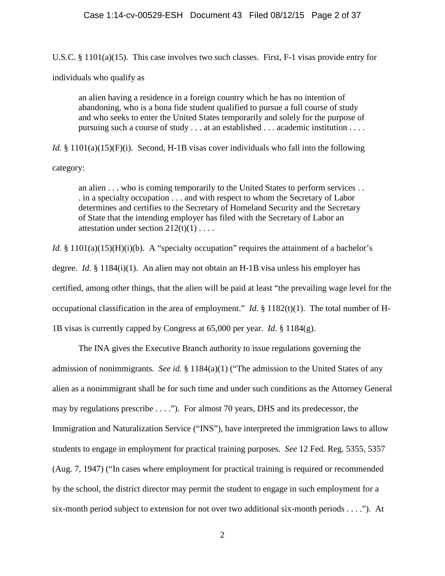U.S.C. § 1101(a)(15). This case involves two such classes. First, F-1 visas provide entry for

individuals who qualify as

an alien having a residence in a foreign country which he has no intention of abandoning, who is a bona fide student qualified to pursue a full course of study and who seeks to enter the United States temporarily and solely for the purpose of pursuing such a course of study . . . at an established . . . academic institution . . . .

*Id.* § 1101(a)(15)(F)(i). Second, H-1B visas cover individuals who fall into the following category:

an alien . . . who is coming temporarily to the United States to perform services . . . in a specialty occupation . . . and with respect to whom the Secretary of Labor determines and certifies to the Secretary of Homeland Security and the Secretary of State that the intending employer has filed with the Secretary of Labor an attestation under section  $212(t)(1)$ ....

*Id.* § 1101(a)(15)(H)(i)(b). A "specialty occupation" requires the attainment of a bachelor's degree. *Id.* § 1184(i)(1). An alien may not obtain an H-1B visa unless his employer has certified, among other things, that the alien will be paid at least "the prevailing wage level for the occupational classification in the area of employment." *Id.* § 1182(t)(1). The total number of H-1B visas is currently capped by Congress at 65,000 per year. *Id.* § 1184(g).

The INA gives the Executive Branch authority to issue regulations governing the admission of nonimmigrants. *See id.* § 1184(a)(1) ("The admission to the United States of any alien as a nonimmigrant shall be for such time and under such conditions as the Attorney General may by regulations prescribe . . . ."). For almost 70 years, DHS and its predecessor, the Immigration and Naturalization Service ("INS"), have interpreted the immigration laws to allow students to engage in employment for practical training purposes. *See* 12 Fed. Reg. 5355, 5357 (Aug. 7, 1947) ("In cases where employment for practical training is required or recommended by the school, the district director may permit the student to engage in such employment for a six-month period subject to extension for not over two additional six-month periods . . . ."). At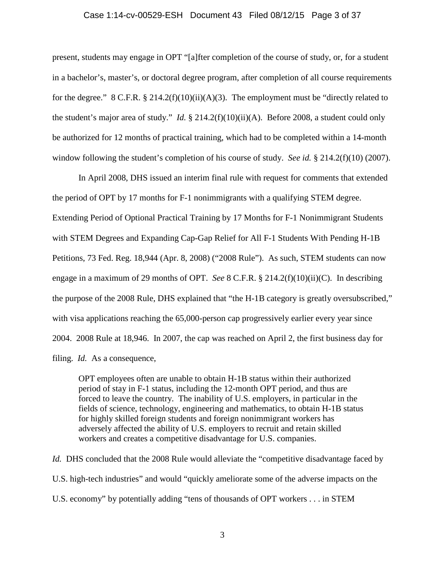#### Case 1:14-cv-00529-ESH Document 43 Filed 08/12/15 Page 3 of 37

present, students may engage in OPT "[a]fter completion of the course of study, or, for a student in a bachelor's, master's, or doctoral degree program, after completion of all course requirements for the degree."  $8 \text{ C.F.R. } \frac{8 \cdot 214.2(f)(10)(ii)(A)(3)}{24}$ . The employment must be "directly related to the student's major area of study." *Id.* § 214.2(f)(10)(ii)(A). Before 2008, a student could only be authorized for 12 months of practical training, which had to be completed within a 14-month window following the student's completion of his course of study. *See id.* § 214.2(f)(10) (2007).

In April 2008, DHS issued an interim final rule with request for comments that extended the period of OPT by 17 months for F-1 nonimmigrants with a qualifying STEM degree. Extending Period of Optional Practical Training by 17 Months for F-1 Nonimmigrant Students with STEM Degrees and Expanding Cap-Gap Relief for All F-1 Students With Pending H-1B Petitions, 73 Fed. Reg. 18,944 (Apr. 8, 2008) ("2008 Rule"). As such, STEM students can now engage in a maximum of 29 months of OPT. *See* 8 C.F.R. § 214.2(f)(10)(ii)(C). In describing the purpose of the 2008 Rule, DHS explained that "the H-1B category is greatly oversubscribed," with visa applications reaching the 65,000-person cap progressively earlier every year since 2004. 2008 Rule at 18,946. In 2007, the cap was reached on April 2, the first business day for filing. *Id.* As a consequence,

OPT employees often are unable to obtain H-1B status within their authorized period of stay in F-1 status, including the 12-month OPT period, and thus are forced to leave the country. The inability of U.S. employers, in particular in the fields of science, technology, engineering and mathematics, to obtain H-1B status for highly skilled foreign students and foreign nonimmigrant workers has adversely affected the ability of U.S. employers to recruit and retain skilled workers and creates a competitive disadvantage for U.S. companies.

*Id.* DHS concluded that the 2008 Rule would alleviate the "competitive disadvantage faced by U.S. high-tech industries" and would "quickly ameliorate some of the adverse impacts on the U.S. economy" by potentially adding "tens of thousands of OPT workers . . . in STEM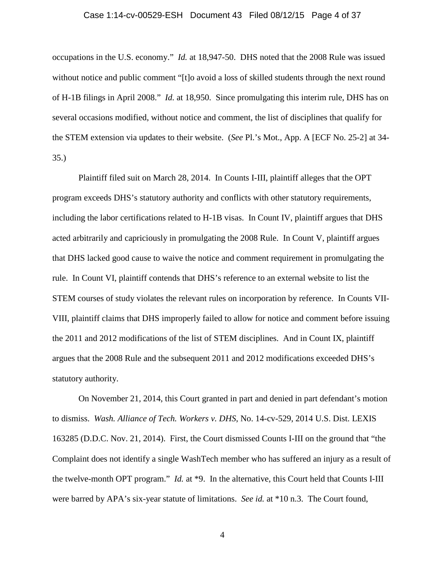#### Case 1:14-cv-00529-ESH Document 43 Filed 08/12/15 Page 4 of 37

occupations in the U.S. economy." *Id.* at 18,947-50. DHS noted that the 2008 Rule was issued without notice and public comment "[t]o avoid a loss of skilled students through the next round of H-1B filings in April 2008." *Id.* at 18,950. Since promulgating this interim rule, DHS has on several occasions modified, without notice and comment, the list of disciplines that qualify for the STEM extension via updates to their website. (*See* Pl.'s Mot., App. A [ECF No. 25-2] at 34- 35.)

Plaintiff filed suit on March 28, 2014. In Counts I-III, plaintiff alleges that the OPT program exceeds DHS's statutory authority and conflicts with other statutory requirements, including the labor certifications related to H-1B visas. In Count IV, plaintiff argues that DHS acted arbitrarily and capriciously in promulgating the 2008 Rule. In Count V, plaintiff argues that DHS lacked good cause to waive the notice and comment requirement in promulgating the rule. In Count VI, plaintiff contends that DHS's reference to an external website to list the STEM courses of study violates the relevant rules on incorporation by reference. In Counts VII-VIII, plaintiff claims that DHS improperly failed to allow for notice and comment before issuing the 2011 and 2012 modifications of the list of STEM disciplines. And in Count IX, plaintiff argues that the 2008 Rule and the subsequent 2011 and 2012 modifications exceeded DHS's statutory authority.

On November 21, 2014, this Court granted in part and denied in part defendant's motion to dismiss. *Wash. Alliance of Tech. Workers v. DHS*, No. 14-cv-529, 2014 U.S. Dist. LEXIS 163285 (D.D.C. Nov. 21, 2014). First, the Court dismissed Counts I-III on the ground that "the Complaint does not identify a single WashTech member who has suffered an injury as a result of the twelve-month OPT program." *Id.* at \*9. In the alternative, this Court held that Counts I-III were barred by APA's six-year statute of limitations. *See id.* at \*10 n.3. The Court found,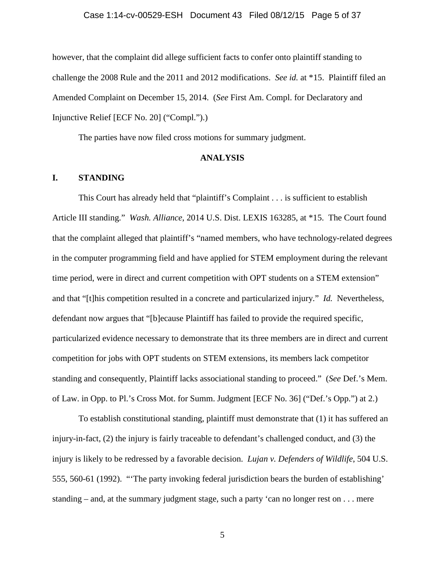# Case 1:14-cv-00529-ESH Document 43 Filed 08/12/15 Page 5 of 37

however, that the complaint did allege sufficient facts to confer onto plaintiff standing to challenge the 2008 Rule and the 2011 and 2012 modifications. *See id.* at \*15. Plaintiff filed an Amended Complaint on December 15, 2014. (*See* First Am. Compl. for Declaratory and Injunctive Relief [ECF No. 20] ("Compl.").)

The parties have now filed cross motions for summary judgment.

## **ANALYSIS**

# **I. STANDING**

This Court has already held that "plaintiff's Complaint . . . is sufficient to establish Article III standing." *Wash. Alliance*, 2014 U.S. Dist. LEXIS 163285, at \*15. The Court found that the complaint alleged that plaintiff's "named members, who have technology-related degrees in the computer programming field and have applied for STEM employment during the relevant time period, were in direct and current competition with OPT students on a STEM extension" and that "[t]his competition resulted in a concrete and particularized injury." *Id.* Nevertheless, defendant now argues that "[b]ecause Plaintiff has failed to provide the required specific, particularized evidence necessary to demonstrate that its three members are in direct and current competition for jobs with OPT students on STEM extensions, its members lack competitor standing and consequently, Plaintiff lacks associational standing to proceed." (*See* Def.'s Mem. of Law. in Opp. to Pl.'s Cross Mot. for Summ. Judgment [ECF No. 36] ("Def.'s Opp.") at 2.)

To establish constitutional standing, plaintiff must demonstrate that (1) it has suffered an injury-in-fact, (2) the injury is fairly traceable to defendant's challenged conduct, and (3) the injury is likely to be redressed by a favorable decision. *Lujan v. Defenders of Wildlife*, 504 U.S. 555, 560-61 (1992). "'The party invoking federal jurisdiction bears the burden of establishing' standing – and, at the summary judgment stage, such a party 'can no longer rest on . . . mere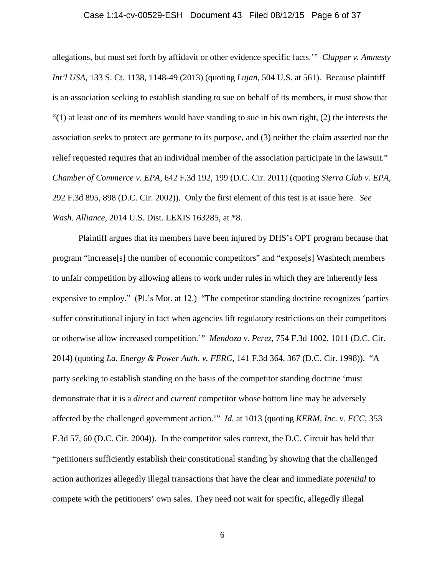#### Case 1:14-cv-00529-ESH Document 43 Filed 08/12/15 Page 6 of 37

allegations, but must set forth by affidavit or other evidence specific facts.'" *Clapper v. Amnesty Int'l USA*, 133 S. Ct. 1138, 1148-49 (2013) (quoting *Lujan*, 504 U.S. at 561). Because plaintiff is an association seeking to establish standing to sue on behalf of its members, it must show that  $(1)$  at least one of its members would have standing to sue in his own right, (2) the interests the association seeks to protect are germane to its purpose, and (3) neither the claim asserted nor the relief requested requires that an individual member of the association participate in the lawsuit." *Chamber of Commerce v. EPA*, 642 F.3d 192, 199 (D.C. Cir. 2011) (quoting *Sierra Club v. EPA*, 292 F.3d 895, 898 (D.C. Cir. 2002)). Only the first element of this test is at issue here. *See Wash. Alliance*, 2014 U.S. Dist. LEXIS 163285, at \*8.

Plaintiff argues that its members have been injured by DHS's OPT program because that program "increase[s] the number of economic competitors" and "expose[s] Washtech members to unfair competition by allowing aliens to work under rules in which they are inherently less expensive to employ." (Pl.'s Mot. at 12.) "The competitor standing doctrine recognizes 'parties suffer constitutional injury in fact when agencies lift regulatory restrictions on their competitors or otherwise allow increased competition.'" *Mendoza v. Perez*, 754 F.3d 1002, 1011 (D.C. Cir. 2014) (quoting *La. Energy & Power Auth. v. FERC*, 141 F.3d 364, 367 (D.C. Cir. 1998)). "A party seeking to establish standing on the basis of the competitor standing doctrine 'must demonstrate that it is a *direct* and *current* competitor whose bottom line may be adversely affected by the challenged government action.'" *Id.* at 1013 (quoting *KERM, Inc. v. FCC*, 353 F.3d 57, 60 (D.C. Cir. 2004)). In the competitor sales context, the D.C. Circuit has held that "petitioners sufficiently establish their constitutional standing by showing that the challenged action authorizes allegedly illegal transactions that have the clear and immediate *potential* to compete with the petitioners' own sales. They need not wait for specific, allegedly illegal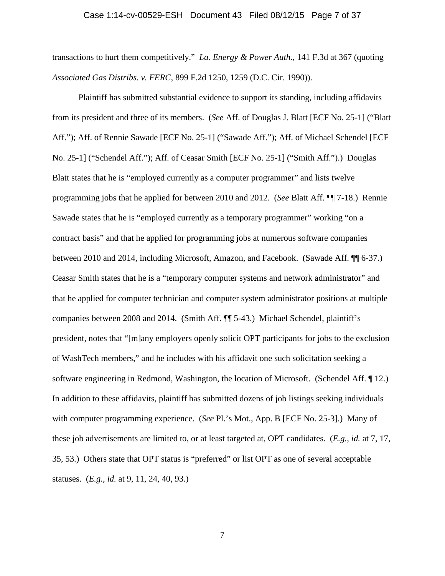#### Case 1:14-cv-00529-ESH Document 43 Filed 08/12/15 Page 7 of 37

transactions to hurt them competitively." *La. Energy & Power Auth.*, 141 F.3d at 367 (quoting *Associated Gas Distribs. v. FERC*, 899 F.2d 1250, 1259 (D.C. Cir. 1990)).

Plaintiff has submitted substantial evidence to support its standing, including affidavits from its president and three of its members. (*See* Aff. of Douglas J. Blatt [ECF No. 25-1] ("Blatt Aff."); Aff. of Rennie Sawade [ECF No. 25-1] ("Sawade Aff."); Aff. of Michael Schendel [ECF No. 25-1] ("Schendel Aff."); Aff. of Ceasar Smith [ECF No. 25-1] ("Smith Aff.").) Douglas Blatt states that he is "employed currently as a computer programmer" and lists twelve programming jobs that he applied for between 2010 and 2012. (*See* Blatt Aff. ¶¶ 7-18.) Rennie Sawade states that he is "employed currently as a temporary programmer" working "on a contract basis" and that he applied for programming jobs at numerous software companies between 2010 and 2014, including Microsoft, Amazon, and Facebook. (Sawade Aff. ¶¶ 6-37.) Ceasar Smith states that he is a "temporary computer systems and network administrator" and that he applied for computer technician and computer system administrator positions at multiple companies between 2008 and 2014. (Smith Aff. ¶¶ 5-43.) Michael Schendel, plaintiff's president, notes that "[m]any employers openly solicit OPT participants for jobs to the exclusion of WashTech members," and he includes with his affidavit one such solicitation seeking a software engineering in Redmond, Washington, the location of Microsoft. (Schendel Aff. ¶ 12.) In addition to these affidavits, plaintiff has submitted dozens of job listings seeking individuals with computer programming experience. (*See* Pl.'s Mot., App. B [ECF No. 25-3].) Many of these job advertisements are limited to, or at least targeted at, OPT candidates. (*E.g.*, *id.* at 7, 17, 35, 53.) Others state that OPT status is "preferred" or list OPT as one of several acceptable statuses. (*E.g.*, *id.* at 9, 11, 24, 40, 93.)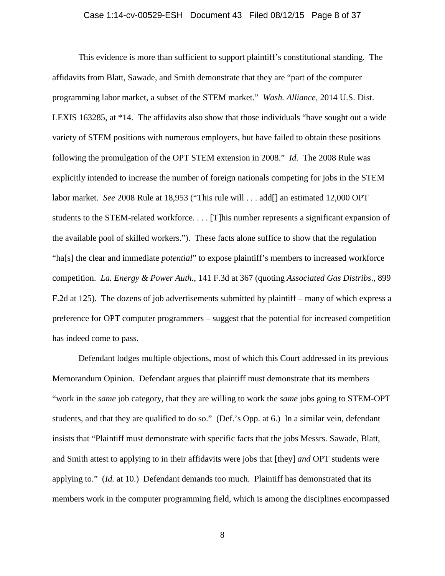#### Case 1:14-cv-00529-ESH Document 43 Filed 08/12/15 Page 8 of 37

This evidence is more than sufficient to support plaintiff's constitutional standing. The affidavits from Blatt, Sawade, and Smith demonstrate that they are "part of the computer programming labor market, a subset of the STEM market." *Wash. Alliance*, 2014 U.S. Dist. LEXIS 163285, at \*14. The affidavits also show that those individuals "have sought out a wide variety of STEM positions with numerous employers, but have failed to obtain these positions following the promulgation of the OPT STEM extension in 2008." *Id.* The 2008 Rule was explicitly intended to increase the number of foreign nationals competing for jobs in the STEM labor market. *See* 2008 Rule at 18,953 ("This rule will . . . add[] an estimated 12,000 OPT students to the STEM-related workforce. . . . [T]his number represents a significant expansion of the available pool of skilled workers."). These facts alone suffice to show that the regulation "ha[s] the clear and immediate *potential*" to expose plaintiff's members to increased workforce competition. *La. Energy & Power Auth.*, 141 F.3d at 367 (quoting *Associated Gas Distribs*., 899 F.2d at 125). The dozens of job advertisements submitted by plaintiff – many of which express a preference for OPT computer programmers – suggest that the potential for increased competition has indeed come to pass.

Defendant lodges multiple objections, most of which this Court addressed in its previous Memorandum Opinion. Defendant argues that plaintiff must demonstrate that its members "work in the *same* job category, that they are willing to work the *same* jobs going to STEM-OPT students, and that they are qualified to do so." (Def.'s Opp. at 6.) In a similar vein, defendant insists that "Plaintiff must demonstrate with specific facts that the jobs Messrs. Sawade, Blatt, and Smith attest to applying to in their affidavits were jobs that [they] *and* OPT students were applying to." (*Id.* at 10.) Defendant demands too much. Plaintiff has demonstrated that its members work in the computer programming field, which is among the disciplines encompassed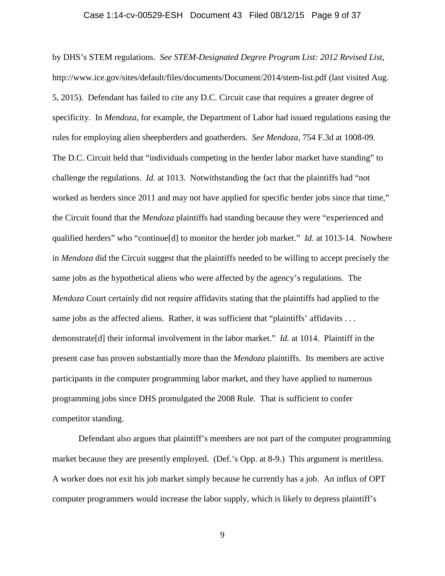#### Case 1:14-cv-00529-ESH Document 43 Filed 08/12/15 Page 9 of 37

by DHS's STEM regulations. *See STEM-Designated Degree Program List: 2012 Revised List*, http://www.ice.gov/sites/default/files/documents/Document/2014/stem-list.pdf (last visited Aug. 5, 2015). Defendant has failed to cite any D.C. Circuit case that requires a greater degree of specificity. In *Mendoza*, for example, the Department of Labor had issued regulations easing the rules for employing alien sheepherders and goatherders. *See Mendoza*, 754 F.3d at 1008-09. The D.C. Circuit held that "individuals competing in the herder labor market have standing" to challenge the regulations. *Id.* at 1013. Notwithstanding the fact that the plaintiffs had "not worked as herders since 2011 and may not have applied for specific herder jobs since that time," the Circuit found that the *Mendoza* plaintiffs had standing because they were "experienced and qualified herders" who "continue[d] to monitor the herder job market." *Id.* at 1013-14. Nowhere in *Mendoza* did the Circuit suggest that the plaintiffs needed to be willing to accept precisely the same jobs as the hypothetical aliens who were affected by the agency's regulations. The *Mendoza* Court certainly did not require affidavits stating that the plaintiffs had applied to the same jobs as the affected aliens. Rather, it was sufficient that "plaintiffs' affidavits . . . demonstrate[d] their informal involvement in the labor market." *Id.* at 1014. Plaintiff in the present case has proven substantially more than the *Mendoza* plaintiffs. Its members are active participants in the computer programming labor market, and they have applied to numerous programming jobs since DHS promulgated the 2008 Rule. That is sufficient to confer competitor standing.

Defendant also argues that plaintiff's members are not part of the computer programming market because they are presently employed. (Def.'s Opp. at 8-9.) This argument is meritless. A worker does not exit his job market simply because he currently has a job. An influx of OPT computer programmers would increase the labor supply, which is likely to depress plaintiff's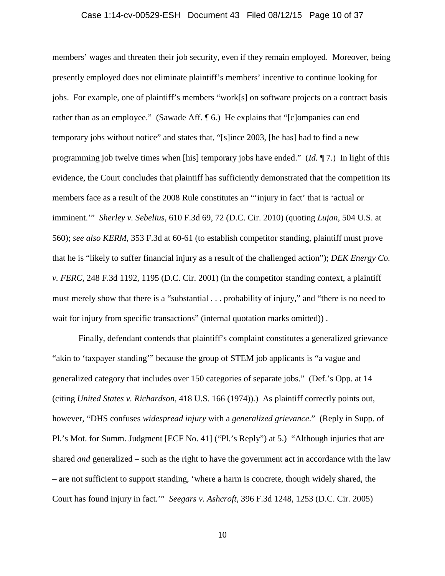## Case 1:14-cv-00529-ESH Document 43 Filed 08/12/15 Page 10 of 37

members' wages and threaten their job security, even if they remain employed. Moreover, being presently employed does not eliminate plaintiff's members' incentive to continue looking for jobs. For example, one of plaintiff's members "work[s] on software projects on a contract basis rather than as an employee." (Sawade Aff. ¶ 6.) He explains that "[c]ompanies can end temporary jobs without notice" and states that, "[s]ince 2003, [he has] had to find a new programming job twelve times when [his] temporary jobs have ended." (*Id.* ¶ 7.) In light of this evidence, the Court concludes that plaintiff has sufficiently demonstrated that the competition its members face as a result of the 2008 Rule constitutes an "'injury in fact' that is 'actual or imminent.'" *Sherley v. Sebelius*, 610 F.3d 69, 72 (D.C. Cir. 2010) (quoting *Lujan*, 504 U.S. at 560); *see also KERM*, 353 F.3d at 60-61 (to establish competitor standing, plaintiff must prove that he is "likely to suffer financial injury as a result of the challenged action"); *DEK Energy Co. v. FERC*, 248 F.3d 1192, 1195 (D.C. Cir. 2001) (in the competitor standing context, a plaintiff must merely show that there is a "substantial . . . probability of injury," and "there is no need to wait for injury from specific transactions" (internal quotation marks omitted)).

Finally, defendant contends that plaintiff's complaint constitutes a generalized grievance "akin to 'taxpayer standing'" because the group of STEM job applicants is "a vague and generalized category that includes over 150 categories of separate jobs." (Def.'s Opp. at 14 (citing *United States v. Richardson*, 418 U.S. 166 (1974)).) As plaintiff correctly points out, however, "DHS confuses *widespread injury* with a *generalized grievance*." (Reply in Supp. of Pl.'s Mot. for Summ. Judgment [ECF No. 41] ("Pl.'s Reply") at 5.) "Although injuries that are shared *and* generalized – such as the right to have the government act in accordance with the law – are not sufficient to support standing, 'where a harm is concrete, though widely shared, the Court has found injury in fact.'" *Seegars v. Ashcroft*, 396 F.3d 1248, 1253 (D.C. Cir. 2005)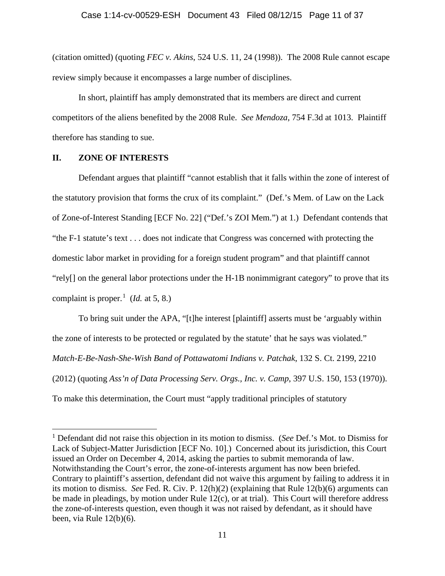(citation omitted) (quoting *FEC v. Akins*, 524 U.S. 11, 24 (1998)). The 2008 Rule cannot escape review simply because it encompasses a large number of disciplines.

In short, plaintiff has amply demonstrated that its members are direct and current competitors of the aliens benefited by the 2008 Rule. *See Mendoza*, 754 F.3d at 1013. Plaintiff therefore has standing to sue.

# **II. ZONE OF INTERESTS**

Defendant argues that plaintiff "cannot establish that it falls within the zone of interest of the statutory provision that forms the crux of its complaint." (Def.'s Mem. of Law on the Lack of Zone-of-Interest Standing [ECF No. 22] ("Def.'s ZOI Mem.") at 1.) Defendant contends that "the F-1 statute's text . . . does not indicate that Congress was concerned with protecting the domestic labor market in providing for a foreign student program" and that plaintiff cannot "rely[] on the general labor protections under the H-1B nonimmigrant category" to prove that its complaint is proper.<sup>[1](#page-10-0)</sup> (*Id.* at 5, 8.)

To bring suit under the APA, "[t]he interest [plaintiff] asserts must be 'arguably within the zone of interests to be protected or regulated by the statute' that he says was violated." *Match-E-Be-Nash-She-Wish Band of Pottawatomi Indians v. Patchak*, 132 S. Ct. 2199, 2210 (2012) (quoting *Ass'n of Data Processing Serv. Orgs., Inc. v. Camp*, 397 U.S. 150, 153 (1970)). To make this determination, the Court must "apply traditional principles of statutory

<span id="page-10-0"></span> <sup>1</sup> Defendant did not raise this objection in its motion to dismiss. (*See* Def.'s Mot. to Dismiss for Lack of Subject-Matter Jurisdiction [ECF No. 10].) Concerned about its jurisdiction, this Court issued an Order on December 4, 2014, asking the parties to submit memoranda of law. Notwithstanding the Court's error, the zone-of-interests argument has now been briefed. Contrary to plaintiff's assertion, defendant did not waive this argument by failing to address it in its motion to dismiss. *See* Fed. R. Civ. P. 12(h)(2) (explaining that Rule 12(b)(6) arguments can be made in pleadings, by motion under Rule 12(c), or at trial). This Court will therefore address the zone-of-interests question, even though it was not raised by defendant, as it should have been, via Rule 12(b)(6).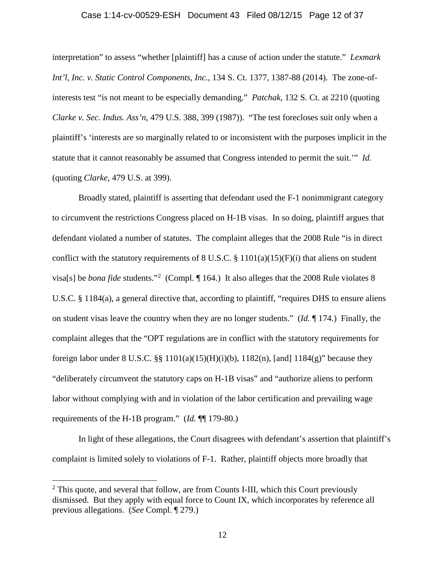# Case 1:14-cv-00529-ESH Document 43 Filed 08/12/15 Page 12 of 37

interpretation" to assess "whether [plaintiff] has a cause of action under the statute." *Lexmark Int'l, Inc. v. Static Control Components, Inc.*, 134 S. Ct. 1377, 1387-88 (2014). The zone-ofinterests test "is not meant to be especially demanding." *Patchak*, 132 S. Ct. at 2210 (quoting *Clarke v. Sec. Indus. Ass'n*, 479 U.S. 388, 399 (1987)). "The test forecloses suit only when a plaintiff's 'interests are so marginally related to or inconsistent with the purposes implicit in the statute that it cannot reasonably be assumed that Congress intended to permit the suit.'" *Id.* (quoting *Clarke*, 479 U.S. at 399).

Broadly stated, plaintiff is asserting that defendant used the F-1 nonimmigrant category to circumvent the restrictions Congress placed on H-1B visas. In so doing, plaintiff argues that defendant violated a number of statutes. The complaint alleges that the 2008 Rule "is in direct conflict with the statutory requirements of 8 U.S.C.  $\S$  1101(a)(15)(F)(i) that aliens on student visa[s] be *bona fide* students."<sup>[2](#page-11-0)</sup> (Compl. 164.) It also alleges that the 2008 Rule violates 8 U.S.C. § 1184(a), a general directive that, according to plaintiff, "requires DHS to ensure aliens on student visas leave the country when they are no longer students." (*Id.* ¶ 174.) Finally, the complaint alleges that the "OPT regulations are in conflict with the statutory requirements for foreign labor under 8 U.S.C. §§ 1101(a)(15)(H)(i)(b), 1182(n), [and] 1184(g)" because they "deliberately circumvent the statutory caps on H-1B visas" and "authorize aliens to perform labor without complying with and in violation of the labor certification and prevailing wage requirements of the H-1B program." (*Id.* ¶¶ 179-80.)

In light of these allegations, the Court disagrees with defendant's assertion that plaintiff's complaint is limited solely to violations of F-1. Rather, plaintiff objects more broadly that

<span id="page-11-0"></span> $2$  This quote, and several that follow, are from Counts I-III, which this Court previously dismissed. But they apply with equal force to Count IX, which incorporates by reference all previous allegations. (*See* Compl. ¶ 279.)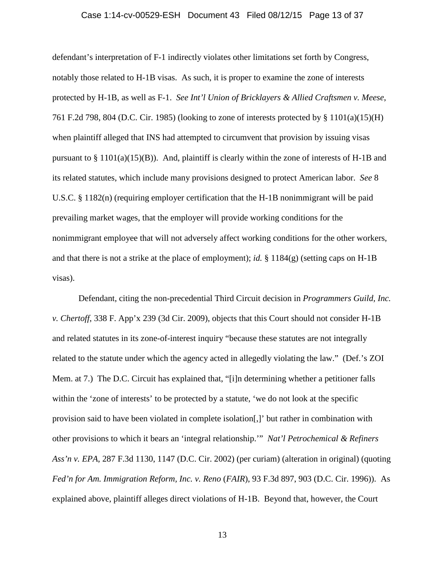## Case 1:14-cv-00529-ESH Document 43 Filed 08/12/15 Page 13 of 37

defendant's interpretation of F-1 indirectly violates other limitations set forth by Congress, notably those related to H-1B visas. As such, it is proper to examine the zone of interests protected by H-1B, as well as F-1. *See Int'l Union of Bricklayers & Allied Craftsmen v. Meese*, 761 F.2d 798, 804 (D.C. Cir. 1985) (looking to zone of interests protected by § 1101(a)(15)(H) when plaintiff alleged that INS had attempted to circumvent that provision by issuing visas pursuant to  $\S 1101(a)(15)(B)$ ). And, plaintiff is clearly within the zone of interests of H-1B and its related statutes, which include many provisions designed to protect American labor. *See* 8 U.S.C. § 1182(n) (requiring employer certification that the H-1B nonimmigrant will be paid prevailing market wages, that the employer will provide working conditions for the nonimmigrant employee that will not adversely affect working conditions for the other workers, and that there is not a strike at the place of employment); *id.* § 1184(g) (setting caps on H-1B visas).

Defendant, citing the non-precedential Third Circuit decision in *Programmers Guild, Inc. v. Chertoff*, 338 F. App'x 239 (3d Cir. 2009), objects that this Court should not consider H-1B and related statutes in its zone-of-interest inquiry "because these statutes are not integrally related to the statute under which the agency acted in allegedly violating the law." (Def.'s ZOI Mem. at 7.) The D.C. Circuit has explained that, "[i]n determining whether a petitioner falls within the 'zone of interests' to be protected by a statute, 'we do not look at the specific provision said to have been violated in complete isolation[,]' but rather in combination with other provisions to which it bears an 'integral relationship.'" *Nat'l Petrochemical & Refiners Ass'n v. EPA*, 287 F.3d 1130, 1147 (D.C. Cir. 2002) (per curiam) (alteration in original) (quoting *Fed'n for Am. Immigration Reform, Inc. v. Reno* (*FAIR*), 93 F.3d 897, 903 (D.C. Cir. 1996)). As explained above, plaintiff alleges direct violations of H-1B. Beyond that, however, the Court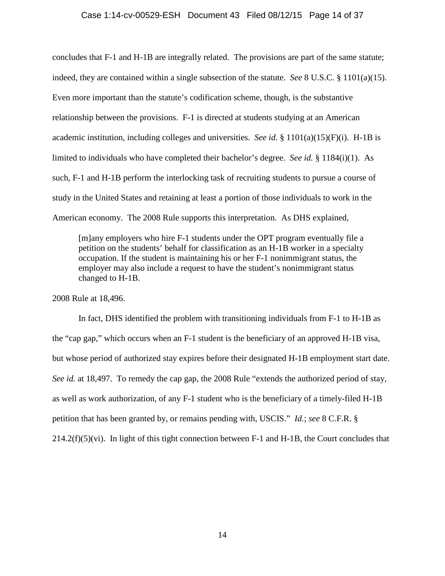#### Case 1:14-cv-00529-ESH Document 43 Filed 08/12/15 Page 14 of 37

concludes that F-1 and H-1B are integrally related. The provisions are part of the same statute; indeed, they are contained within a single subsection of the statute. *See* 8 U.S.C. § 1101(a)(15). Even more important than the statute's codification scheme, though, is the substantive relationship between the provisions. F-1 is directed at students studying at an American academic institution, including colleges and universities. *See id.* § 1101(a)(15)(F)(i). H-1B is limited to individuals who have completed their bachelor's degree. *See id.* § 1184(i)(1). As such, F-1 and H-1B perform the interlocking task of recruiting students to pursue a course of study in the United States and retaining at least a portion of those individuals to work in the American economy. The 2008 Rule supports this interpretation. As DHS explained,

[m]any employers who hire F-1 students under the OPT program eventually file a petition on the students' behalf for classification as an H-1B worker in a specialty occupation. If the student is maintaining his or her F-1 nonimmigrant status, the employer may also include a request to have the student's nonimmigrant status changed to H-1B.

2008 Rule at 18,496.

In fact, DHS identified the problem with transitioning individuals from F-1 to H-1B as the "cap gap," which occurs when an F-1 student is the beneficiary of an approved H-1B visa, but whose period of authorized stay expires before their designated H-1B employment start date. *See id.* at 18,497. To remedy the cap gap, the 2008 Rule "extends the authorized period of stay, as well as work authorization, of any F-1 student who is the beneficiary of a timely-filed H-1B petition that has been granted by, or remains pending with, USCIS." *Id.*; *see* 8 C.F.R. §  $214.2(f)(5)(vi)$ . In light of this tight connection between F-1 and H-1B, the Court concludes that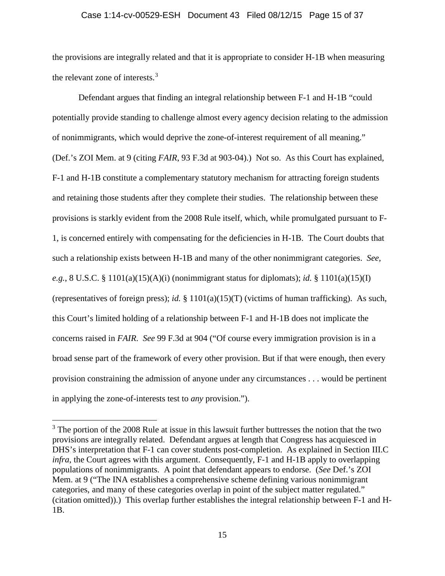#### Case 1:14-cv-00529-ESH Document 43 Filed 08/12/15 Page 15 of 37

the provisions are integrally related and that it is appropriate to consider H-1B when measuring the relevant zone of interests.<sup>[3](#page-14-0)</sup>

Defendant argues that finding an integral relationship between F-1 and H-1B "could potentially provide standing to challenge almost every agency decision relating to the admission of nonimmigrants, which would deprive the zone-of-interest requirement of all meaning." (Def.'s ZOI Mem. at 9 (citing *FAIR*, 93 F.3d at 903-04).) Not so. As this Court has explained, F-1 and H-1B constitute a complementary statutory mechanism for attracting foreign students and retaining those students after they complete their studies. The relationship between these provisions is starkly evident from the 2008 Rule itself, which, while promulgated pursuant to F-1, is concerned entirely with compensating for the deficiencies in H-1B. The Court doubts that such a relationship exists between H-1B and many of the other nonimmigrant categories. *See, e.g.*, 8 U.S.C. § 1101(a)(15)(A)(i) (nonimmigrant status for diplomats); *id.* § 1101(a)(15)(I) (representatives of foreign press); *id.* § 1101(a)(15)(T) (victims of human trafficking). As such, this Court's limited holding of a relationship between F-1 and H-1B does not implicate the concerns raised in *FAIR*. *See* 99 F.3d at 904 ("Of course every immigration provision is in a broad sense part of the framework of every other provision. But if that were enough, then every provision constraining the admission of anyone under any circumstances . . . would be pertinent in applying the zone-of-interests test to *any* provision.").

<span id="page-14-0"></span> $3$  The portion of the 2008 Rule at issue in this lawsuit further buttresses the notion that the two provisions are integrally related. Defendant argues at length that Congress has acquiesced in DHS's interpretation that F-1 can cover students post-completion. As explained in Section III.C *infra*, the Court agrees with this argument. Consequently, F-1 and H-1B apply to overlapping populations of nonimmigrants. A point that defendant appears to endorse. (*See* Def.'s ZOI Mem. at 9 ("The INA establishes a comprehensive scheme defining various nonimmigrant categories, and many of these categories overlap in point of the subject matter regulated." (citation omitted)).) This overlap further establishes the integral relationship between F-1 and H-1B.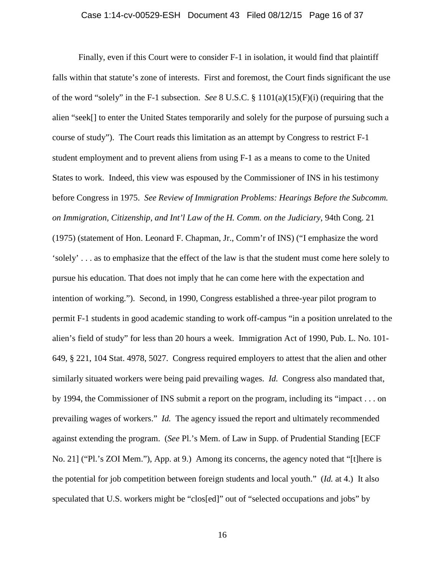## Case 1:14-cv-00529-ESH Document 43 Filed 08/12/15 Page 16 of 37

Finally, even if this Court were to consider F-1 in isolation, it would find that plaintiff falls within that statute's zone of interests. First and foremost, the Court finds significant the use of the word "solely" in the F-1 subsection. *See* 8 U.S.C. § 1101(a)(15)(F)(i) (requiring that the alien "seek[] to enter the United States temporarily and solely for the purpose of pursuing such a course of study"). The Court reads this limitation as an attempt by Congress to restrict F-1 student employment and to prevent aliens from using F-1 as a means to come to the United States to work. Indeed, this view was espoused by the Commissioner of INS in his testimony before Congress in 1975. *See Review of Immigration Problems: Hearings Before the Subcomm. on Immigration, Citizenship, and Int'l Law of the H. Comm. on the Judiciary*, 94th Cong. 21 (1975) (statement of Hon. Leonard F. Chapman, Jr., Comm'r of INS) ("I emphasize the word 'solely' . . . as to emphasize that the effect of the law is that the student must come here solely to pursue his education. That does not imply that he can come here with the expectation and intention of working."). Second, in 1990, Congress established a three-year pilot program to permit F-1 students in good academic standing to work off-campus "in a position unrelated to the alien's field of study" for less than 20 hours a week. Immigration Act of 1990, Pub. L. No. 101- 649, § 221, 104 Stat. 4978, 5027. Congress required employers to attest that the alien and other similarly situated workers were being paid prevailing wages. *Id.* Congress also mandated that, by 1994, the Commissioner of INS submit a report on the program, including its "impact . . . on prevailing wages of workers." *Id.* The agency issued the report and ultimately recommended against extending the program. (*See* Pl.'s Mem. of Law in Supp. of Prudential Standing [ECF No. 21] ("Pl.'s ZOI Mem."), App. at 9.) Among its concerns, the agency noted that "[t]here is the potential for job competition between foreign students and local youth." (*Id.* at 4.) It also speculated that U.S. workers might be "clos[ed]" out of "selected occupations and jobs" by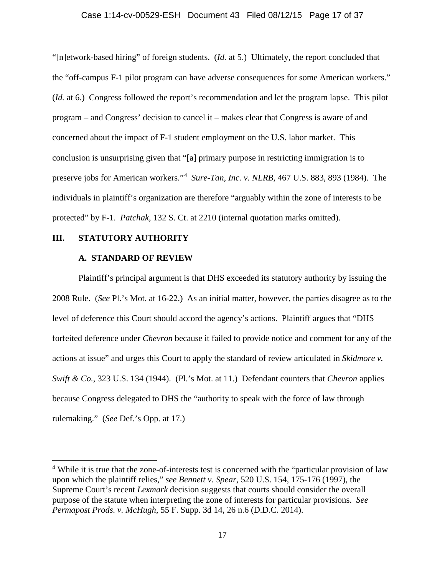#### Case 1:14-cv-00529-ESH Document 43 Filed 08/12/15 Page 17 of 37

"[n]etwork-based hiring" of foreign students. (*Id.* at 5.) Ultimately, the report concluded that the "off-campus F-1 pilot program can have adverse consequences for some American workers." (*Id.* at 6.) Congress followed the report's recommendation and let the program lapse. This pilot program – and Congress' decision to cancel it – makes clear that Congress is aware of and concerned about the impact of F-1 student employment on the U.S. labor market. This conclusion is unsurprising given that "[a] primary purpose in restricting immigration is to preserve jobs for American workers."<sup>[4](#page-16-0)</sup> Sure-Tan, Inc. v. NLRB, 467 U.S. 883, 893 (1984). The individuals in plaintiff's organization are therefore "arguably within the zone of interests to be protected" by F-1. *Patchak*, 132 S. Ct. at 2210 (internal quotation marks omitted).

## **III. STATUTORY AUTHORITY**

# **A. STANDARD OF REVIEW**

Plaintiff's principal argument is that DHS exceeded its statutory authority by issuing the 2008 Rule. (*See* Pl.'s Mot. at 16-22.) As an initial matter, however, the parties disagree as to the level of deference this Court should accord the agency's actions. Plaintiff argues that "DHS forfeited deference under *Chevron* because it failed to provide notice and comment for any of the actions at issue" and urges this Court to apply the standard of review articulated in *Skidmore v. Swift & Co.*, 323 U.S. 134 (1944). (Pl.'s Mot. at 11.) Defendant counters that *Chevron* applies because Congress delegated to DHS the "authority to speak with the force of law through rulemaking." (*See* Def.'s Opp. at 17.)

<span id="page-16-0"></span><sup>&</sup>lt;sup>4</sup> While it is true that the zone-of-interests test is concerned with the "particular provision of law upon which the plaintiff relies," *see Bennett v. Spear*, 520 U.S. 154, 175-176 (1997), the Supreme Court's recent *Lexmark* decision suggests that courts should consider the overall purpose of the statute when interpreting the zone of interests for particular provisions. *See Permapost Prods. v. McHugh*, 55 F. Supp. 3d 14, 26 n.6 (D.D.C. 2014).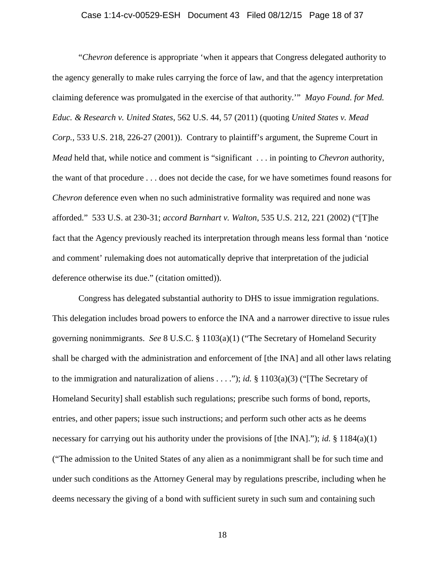## Case 1:14-cv-00529-ESH Document 43 Filed 08/12/15 Page 18 of 37

"*Chevron* deference is appropriate 'when it appears that Congress delegated authority to the agency generally to make rules carrying the force of law, and that the agency interpretation claiming deference was promulgated in the exercise of that authority.'" *Mayo Found. for Med. Educ. & Research v. United States*, 562 U.S. 44, 57 (2011) (quoting *United States v. Mead Corp.*, 533 U.S. 218, 226-27 (2001)). Contrary to plaintiff's argument, the Supreme Court in *Mead* held that, while notice and comment is "significant . . . in pointing to *Chevron* authority, the want of that procedure . . . does not decide the case, for we have sometimes found reasons for *Chevron* deference even when no such administrative formality was required and none was afforded." 533 U.S. at 230-31; *accord Barnhart v. Walton*, 535 U.S. 212, 221 (2002) ("[T]he fact that the Agency previously reached its interpretation through means less formal than 'notice and comment' rulemaking does not automatically deprive that interpretation of the judicial deference otherwise its due." (citation omitted)).

Congress has delegated substantial authority to DHS to issue immigration regulations. This delegation includes broad powers to enforce the INA and a narrower directive to issue rules governing nonimmigrants. *See* 8 U.S.C. § 1103(a)(1) ("The Secretary of Homeland Security shall be charged with the administration and enforcement of [the INA] and all other laws relating to the immigration and naturalization of aliens  $\dots$ "); *id.* § 1103(a)(3) ("The Secretary of Homeland Security] shall establish such regulations; prescribe such forms of bond, reports, entries, and other papers; issue such instructions; and perform such other acts as he deems necessary for carrying out his authority under the provisions of [the INA]."); *id.* § 1184(a)(1) ("The admission to the United States of any alien as a nonimmigrant shall be for such time and under such conditions as the Attorney General may by regulations prescribe, including when he deems necessary the giving of a bond with sufficient surety in such sum and containing such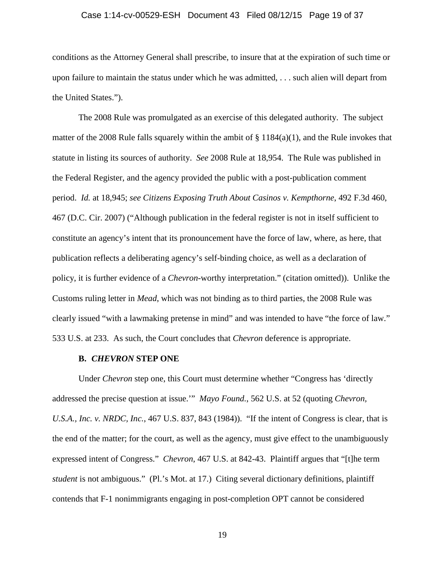## Case 1:14-cv-00529-ESH Document 43 Filed 08/12/15 Page 19 of 37

conditions as the Attorney General shall prescribe, to insure that at the expiration of such time or upon failure to maintain the status under which he was admitted, . . . such alien will depart from the United States.").

The 2008 Rule was promulgated as an exercise of this delegated authority. The subject matter of the 2008 Rule falls squarely within the ambit of  $\S$  1184(a)(1), and the Rule invokes that statute in listing its sources of authority. *See* 2008 Rule at 18,954. The Rule was published in the Federal Register, and the agency provided the public with a post-publication comment period. *Id.* at 18,945; *see Citizens Exposing Truth About Casinos v. Kempthorne*, 492 F.3d 460, 467 (D.C. Cir. 2007) ("Although publication in the federal register is not in itself sufficient to constitute an agency's intent that its pronouncement have the force of law, where, as here, that publication reflects a deliberating agency's self-binding choice, as well as a declaration of policy, it is further evidence of a *Chevron*-worthy interpretation." (citation omitted)). Unlike the Customs ruling letter in *Mead*, which was not binding as to third parties, the 2008 Rule was clearly issued "with a lawmaking pretense in mind" and was intended to have "the force of law." 533 U.S. at 233. As such, the Court concludes that *Chevron* deference is appropriate.

#### **B.** *CHEVRON* **STEP ONE**

Under *Chevron* step one, this Court must determine whether "Congress has 'directly addressed the precise question at issue.'" *Mayo Found.*, 562 U.S. at 52 (quoting *Chevron, U.S.A., Inc. v. NRDC, Inc.*, 467 U.S. 837, 843 (1984)). "If the intent of Congress is clear, that is the end of the matter; for the court, as well as the agency, must give effect to the unambiguously expressed intent of Congress." *Chevron*, 467 U.S. at 842-43. Plaintiff argues that "[t]he term *student* is not ambiguous." (Pl.'s Mot. at 17.) Citing several dictionary definitions, plaintiff contends that F-1 nonimmigrants engaging in post-completion OPT cannot be considered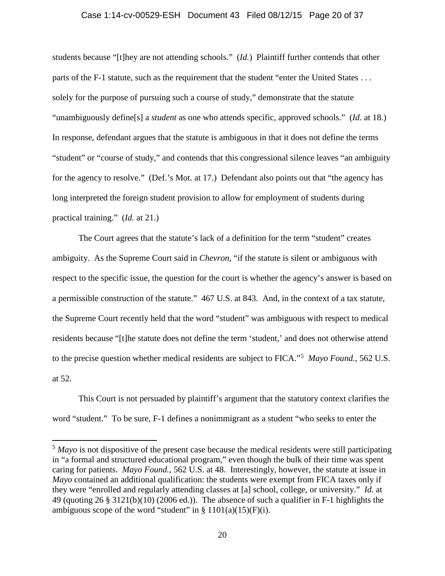#### Case 1:14-cv-00529-ESH Document 43 Filed 08/12/15 Page 20 of 37

students because "[t]hey are not attending schools." (*Id.*) Plaintiff further contends that other parts of the F-1 statute, such as the requirement that the student "enter the United States . . . solely for the purpose of pursuing such a course of study," demonstrate that the statute "unambiguously define[s] a *student* as one who attends specific, approved schools." (*Id.* at 18.) In response, defendant argues that the statute is ambiguous in that it does not define the terms "student" or "course of study," and contends that this congressional silence leaves "an ambiguity for the agency to resolve." (Def.'s Mot. at 17.) Defendant also points out that "the agency has long interpreted the foreign student provision to allow for employment of students during practical training." (*Id.* at 21.)

The Court agrees that the statute's lack of a definition for the term "student" creates ambiguity. As the Supreme Court said in *Chevron*, "if the statute is silent or ambiguous with respect to the specific issue, the question for the court is whether the agency's answer is based on a permissible construction of the statute." 467 U.S. at 843. And, in the context of a tax statute, the Supreme Court recently held that the word "student" was ambiguous with respect to medical residents because "[t]he statute does not define the term 'student,' and does not otherwise attend to the precise question whether medical residents are subject to FICA."[5](#page-19-0) *Mayo Found.*, 562 U.S. at 52.

This Court is not persuaded by plaintiff's argument that the statutory context clarifies the word "student." To be sure, F-1 defines a nonimmigrant as a student "who seeks to enter the

<span id="page-19-0"></span> <sup>5</sup> *Mayo* is not dispositive of the present case because the medical residents were still participating in "a formal and structured educational program," even though the bulk of their time was spent caring for patients. *Mayo Found.*, 562 U.S. at 48. Interestingly, however, the statute at issue in *Mayo* contained an additional qualification: the students were exempt from FICA taxes only if they were "enrolled and regularly attending classes at [a] school, college, or university." *Id.* at 49 (quoting 26 § 3121(b)(10) (2006 ed.)). The absence of such a qualifier in F-1 highlights the ambiguous scope of the word "student" in  $\S 1101(a)(15)(F)(i)$ .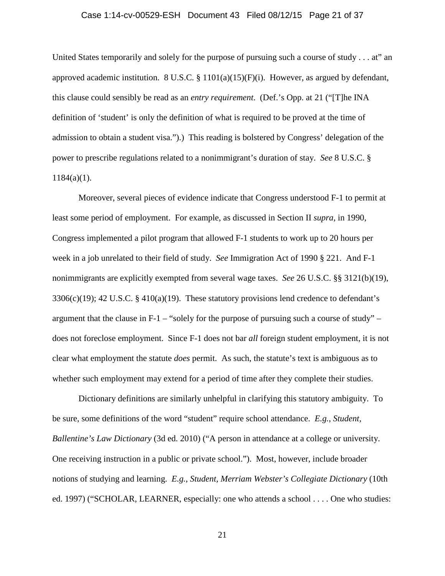## Case 1:14-cv-00529-ESH Document 43 Filed 08/12/15 Page 21 of 37

United States temporarily and solely for the purpose of pursuing such a course of study . . . at" an approved academic institution. 8 U.S.C. § 1101(a)(15)(F)(i). However, as argued by defendant, this clause could sensibly be read as an *entry requirement*. (Def.'s Opp. at 21 ("[T]he INA definition of 'student' is only the definition of what is required to be proved at the time of admission to obtain a student visa.").) This reading is bolstered by Congress' delegation of the power to prescribe regulations related to a nonimmigrant's duration of stay. *See* 8 U.S.C. §  $1184(a)(1)$ .

Moreover, several pieces of evidence indicate that Congress understood F-1 to permit at least some period of employment. For example, as discussed in Section II *supra*, in 1990, Congress implemented a pilot program that allowed F-1 students to work up to 20 hours per week in a job unrelated to their field of study. *See* Immigration Act of 1990 § 221. And F-1 nonimmigrants are explicitly exempted from several wage taxes. *See* 26 U.S.C. §§ 3121(b)(19), 3306(c)(19); 42 U.S.C. § 410(a)(19). These statutory provisions lend credence to defendant's argument that the clause in F-1 – "solely for the purpose of pursuing such a course of study" – does not foreclose employment. Since F-1 does not bar *all* foreign student employment, it is not clear what employment the statute *does* permit. As such, the statute's text is ambiguous as to whether such employment may extend for a period of time after they complete their studies.

Dictionary definitions are similarly unhelpful in clarifying this statutory ambiguity. To be sure, some definitions of the word "student" require school attendance. *E.g.*, *Student, Ballentine's Law Dictionary* (3d ed. 2010) ("A person in attendance at a college or university. One receiving instruction in a public or private school."). Most, however, include broader notions of studying and learning. *E.g.*, *Student, Merriam Webster's Collegiate Dictionary* (10th ed. 1997) ("SCHOLAR, LEARNER, especially: one who attends a school . . . . One who studies: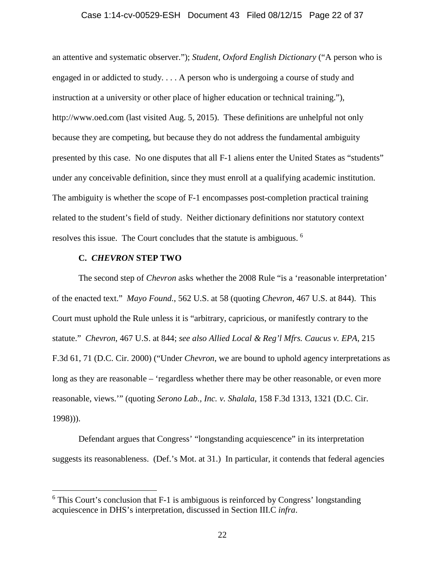## Case 1:14-cv-00529-ESH Document 43 Filed 08/12/15 Page 22 of 37

an attentive and systematic observer."); *Student, Oxford English Dictionary* ("A person who is engaged in or addicted to study. . . . A person who is undergoing a course of study and instruction at a university or other place of higher education or technical training."), http://www.oed.com (last visited Aug. 5, 2015). These definitions are unhelpful not only because they are competing, but because they do not address the fundamental ambiguity presented by this case. No one disputes that all F-1 aliens enter the United States as "students" under any conceivable definition, since they must enroll at a qualifying academic institution. The ambiguity is whether the scope of F-1 encompasses post-completion practical training related to the student's field of study. Neither dictionary definitions nor statutory context resolves this issue. The Court concludes that the statute is ambiguous. <sup>[6](#page-21-0)</sup>

## **C.** *CHEVRON* **STEP TWO**

The second step of *Chevron* asks whether the 2008 Rule "is a 'reasonable interpretation' of the enacted text." *Mayo Found.*, 562 U.S. at 58 (quoting *Chevron*, 467 U.S. at 844). This Court must uphold the Rule unless it is "arbitrary, capricious, or manifestly contrary to the statute." *Chevron*, 467 U.S. at 844; *see also Allied Local & Reg'l Mfrs. Caucus v. EPA*, 215 F.3d 61, 71 (D.C. Cir. 2000) ("Under *Chevron*, we are bound to uphold agency interpretations as long as they are reasonable – 'regardless whether there may be other reasonable, or even more reasonable, views.'" (quoting *Serono Lab., Inc. v. Shalala*, 158 F.3d 1313, 1321 (D.C. Cir. 1998))).

Defendant argues that Congress' "longstanding acquiescence" in its interpretation suggests its reasonableness. (Def.'s Mot. at 31.) In particular, it contends that federal agencies

<span id="page-21-0"></span> $6$  This Court's conclusion that F-1 is ambiguous is reinforced by Congress' longstanding acquiescence in DHS's interpretation, discussed in Section III.C *infra*.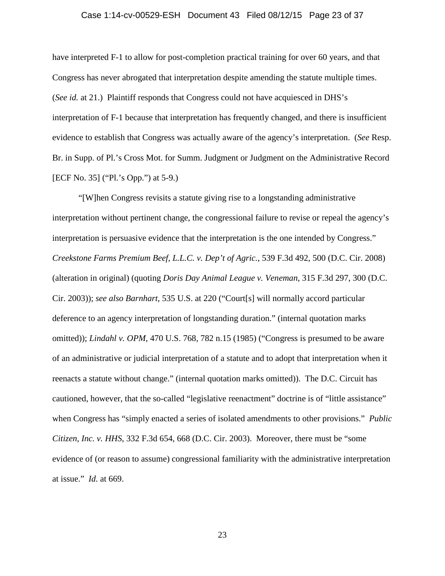## Case 1:14-cv-00529-ESH Document 43 Filed 08/12/15 Page 23 of 37

have interpreted F-1 to allow for post-completion practical training for over 60 years, and that Congress has never abrogated that interpretation despite amending the statute multiple times. (*See id.* at 21.) Plaintiff responds that Congress could not have acquiesced in DHS's interpretation of F-1 because that interpretation has frequently changed, and there is insufficient evidence to establish that Congress was actually aware of the agency's interpretation. (*See* Resp. Br. in Supp. of Pl.'s Cross Mot. for Summ. Judgment or Judgment on the Administrative Record [ECF No. 35] ("Pl.'s Opp.") at 5-9.)

"[W]hen Congress revisits a statute giving rise to a longstanding administrative interpretation without pertinent change, the congressional failure to revise or repeal the agency's interpretation is persuasive evidence that the interpretation is the one intended by Congress." *Creekstone Farms Premium Beef, L.L.C. v. Dep't of Agric.*, 539 F.3d 492, 500 (D.C. Cir. 2008) (alteration in original) (quoting *Doris Day Animal League v. Veneman*, 315 F.3d 297, 300 (D.C. Cir. 2003)); *see also Barnhart*, 535 U.S. at 220 ("Court[s] will normally accord particular deference to an agency interpretation of longstanding duration." (internal quotation marks omitted)); *Lindahl v. OPM*, 470 U.S. 768, 782 n.15 (1985) ("Congress is presumed to be aware of an administrative or judicial interpretation of a statute and to adopt that interpretation when it reenacts a statute without change." (internal quotation marks omitted)). The D.C. Circuit has cautioned, however, that the so-called "legislative reenactment" doctrine is of "little assistance" when Congress has "simply enacted a series of isolated amendments to other provisions." *Public Citizen, Inc. v. HHS*, 332 F.3d 654, 668 (D.C. Cir. 2003). Moreover, there must be "some evidence of (or reason to assume) congressional familiarity with the administrative interpretation at issue." *Id.* at 669.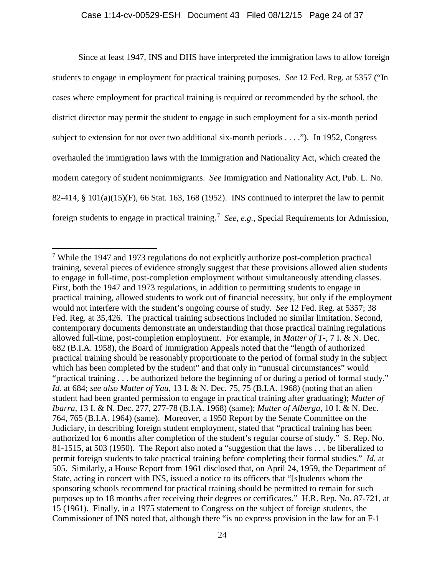Since at least 1947, INS and DHS have interpreted the immigration laws to allow foreign students to engage in employment for practical training purposes. *See* 12 Fed. Reg. at 5357 ("In cases where employment for practical training is required or recommended by the school, the district director may permit the student to engage in such employment for a six-month period subject to extension for not over two additional six-month periods . . . ."). In 1952, Congress overhauled the immigration laws with the Immigration and Nationality Act, which created the modern category of student nonimmigrants. *See* Immigration and Nationality Act, Pub. L. No. 82-414, § 101(a)(15)(F), 66 Stat. 163, 168 (1952). INS continued to interpret the law to permit foreign students to engage in practical training.<sup>[7](#page-23-0)</sup> See, e.g., Special Requirements for Admission,

<span id="page-23-1"></span><span id="page-23-0"></span> <sup>7</sup> While the 1947 and 1973 regulations do not explicitly authorize post-completion practical training, several pieces of evidence strongly suggest that these provisions allowed alien students to engage in full-time, post-completion employment without simultaneously attending classes. First, both the 1947 and 1973 regulations, in addition to permitting students to engage in practical training, allowed students to work out of financial necessity, but only if the employment would not interfere with the student's ongoing course of study. *See* 12 Fed. Reg. at 5357; 38 Fed. Reg. at 35,426. The practical training subsections included no similar limitation. Second, contemporary documents demonstrate an understanding that those practical training regulations allowed full-time, post-completion employment. For example, in *Matter of T-*, 7 I. & N. Dec. 682 (B.I.A. 1958), the Board of Immigration Appeals noted that the "length of authorized practical training should be reasonably proportionate to the period of formal study in the subject which has been completed by the student" and that only in "unusual circumstances" would "practical training . . . be authorized before the beginning of or during a period of formal study." *Id.* at 684; *see also Matter of Yau*, 13 I. & N. Dec. 75, 75 (B.I.A. 1968) (noting that an alien student had been granted permission to engage in practical training after graduating); *Matter of Ibarra*, 13 I. & N. Dec. 277, 277-78 (B.I.A. 1968) (same); *Matter of Alberga*, 10 I. & N. Dec. 764, 765 (B.I.A. 1964) (same). Moreover, a 1950 Report by the Senate Committee on the Judiciary, in describing foreign student employment, stated that "practical training has been authorized for 6 months after completion of the student's regular course of study." S. Rep. No. 81-1515, at 503 (1950). The Report also noted a "suggestion that the laws . . . be liberalized to permit foreign students to take practical training before completing their formal studies." *Id.* at 505. Similarly, a House Report from 1961 disclosed that, on April 24, 1959, the Department of State, acting in concert with INS, issued a notice to its officers that "[s]tudents whom the sponsoring schools recommend for practical training should be permitted to remain for such purposes up to 18 months after receiving their degrees or certificates." H.R. Rep. No. 87-721, at 15 (1961). Finally, in a 1975 statement to Congress on the subject of foreign students, the Commissioner of INS noted that, although there "is no express provision in the law for an F-1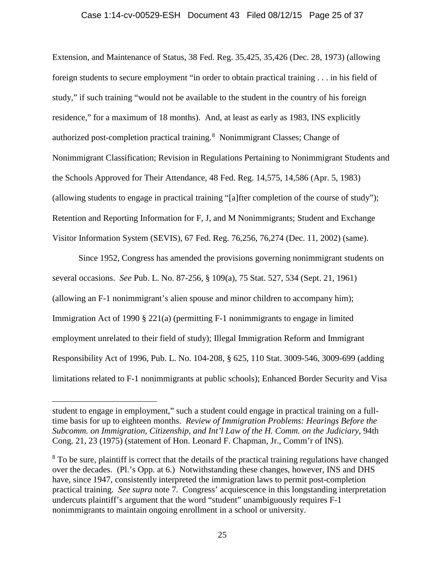## Case 1:14-cv-00529-ESH Document 43 Filed 08/12/15 Page 25 of 37

Extension, and Maintenance of Status, 38 Fed. Reg. 35,425, 35,426 (Dec. 28, 1973) (allowing foreign students to secure employment "in order to obtain practical training . . . in his field of study," if such training "would not be available to the student in the country of his foreign residence," for a maximum of 18 months). And, at least as early as 1983, INS explicitly authorized post-completion practical training.<sup>[8](#page-24-0)</sup> Nonimmigrant Classes; Change of Nonimmigrant Classification; Revision in Regulations Pertaining to Nonimmigrant Students and the Schools Approved for Their Attendance, 48 Fed. Reg. 14,575, 14,586 (Apr. 5, 1983) (allowing students to engage in practical training "[a]fter completion of the course of study"); Retention and Reporting Information for F, J, and M Nonimmigrants; Student and Exchange Visitor Information System (SEVIS), 67 Fed. Reg. 76,256, 76,274 (Dec. 11, 2002) (same).

Since 1952, Congress has amended the provisions governing nonimmigrant students on several occasions. *See* Pub. L. No. 87-256, § 109(a), 75 Stat. 527, 534 (Sept. 21, 1961) (allowing an F-1 nonimmigrant's alien spouse and minor children to accompany him); Immigration Act of 1990 § 221(a) (permitting F-1 nonimmigrants to engage in limited employment unrelated to their field of study); Illegal Immigration Reform and Immigrant Responsibility Act of 1996, Pub. L. No. 104-208, § 625, 110 Stat. 3009-546, 3009-699 (adding limitations related to F-1 nonimmigrants at public schools); Enhanced Border Security and Visa

 $\overline{a}$ 

student to engage in employment," such a student could engage in practical training on a fulltime basis for up to eighteen months. *Review of Immigration Problems: Hearings Before the Subcomm. on Immigration, Citizenship, and Int'l Law of the H. Comm. on the Judiciary*, 94th Cong. 21, 23 (1975) (statement of Hon. Leonard F. Chapman, Jr., Comm'r of INS).

<span id="page-24-0"></span><sup>&</sup>lt;sup>8</sup> To be sure, plaintiff is correct that the details of the practical training regulations have changed over the decades. (Pl.'s Opp. at 6.) Notwithstanding these changes, however, INS and DHS have, since 1947, consistently interpreted the immigration laws to permit post-completion practical training. *See supra* note [7.](#page-23-1) Congress' acquiescence in this longstanding interpretation undercuts plaintiff's argument that the word "student" unambiguously requires F-1 nonimmigrants to maintain ongoing enrollment in a school or university.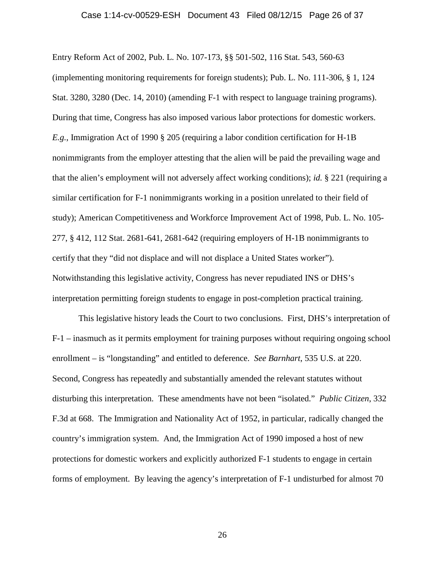#### Case 1:14-cv-00529-ESH Document 43 Filed 08/12/15 Page 26 of 37

Entry Reform Act of 2002, Pub. L. No. 107-173, §§ 501-502, 116 Stat. 543, 560-63 (implementing monitoring requirements for foreign students); Pub. L. No. 111-306, § 1, 124 Stat. 3280, 3280 (Dec. 14, 2010) (amending F-1 with respect to language training programs). During that time, Congress has also imposed various labor protections for domestic workers. *E.g.*, Immigration Act of 1990 § 205 (requiring a labor condition certification for H-1B nonimmigrants from the employer attesting that the alien will be paid the prevailing wage and that the alien's employment will not adversely affect working conditions); *id.* § 221 (requiring a similar certification for F-1 nonimmigrants working in a position unrelated to their field of study); American Competitiveness and Workforce Improvement Act of 1998, Pub. L. No. 105- 277, § 412, 112 Stat. 2681-641, 2681-642 (requiring employers of H-1B nonimmigrants to certify that they "did not displace and will not displace a United States worker"). Notwithstanding this legislative activity, Congress has never repudiated INS or DHS's interpretation permitting foreign students to engage in post-completion practical training.

This legislative history leads the Court to two conclusions. First, DHS's interpretation of F-1 – inasmuch as it permits employment for training purposes without requiring ongoing school enrollment – is "longstanding" and entitled to deference. *See Barnhart*, 535 U.S. at 220. Second, Congress has repeatedly and substantially amended the relevant statutes without disturbing this interpretation. These amendments have not been "isolated." *Public Citizen*, 332 F.3d at 668. The Immigration and Nationality Act of 1952, in particular, radically changed the country's immigration system. And, the Immigration Act of 1990 imposed a host of new protections for domestic workers and explicitly authorized F-1 students to engage in certain forms of employment. By leaving the agency's interpretation of F-1 undisturbed for almost 70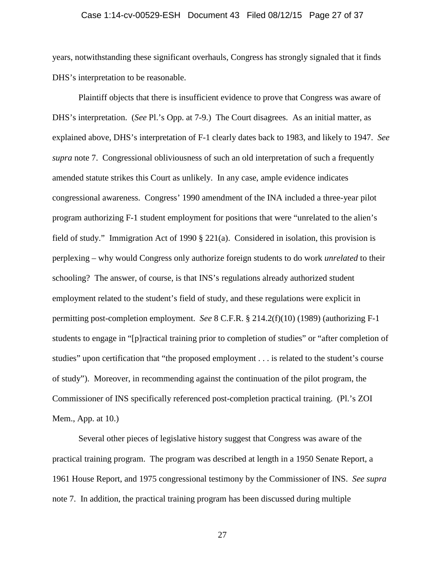## Case 1:14-cv-00529-ESH Document 43 Filed 08/12/15 Page 27 of 37

years, notwithstanding these significant overhauls, Congress has strongly signaled that it finds DHS's interpretation to be reasonable.

Plaintiff objects that there is insufficient evidence to prove that Congress was aware of DHS's interpretation. (*See* Pl.'s Opp. at 7-9.) The Court disagrees. As an initial matter, as explained above, DHS's interpretation of F-1 clearly dates back to 1983, and likely to 1947. *See supra* note [7.](#page-23-1) Congressional obliviousness of such an old interpretation of such a frequently amended statute strikes this Court as unlikely. In any case, ample evidence indicates congressional awareness. Congress' 1990 amendment of the INA included a three-year pilot program authorizing F-1 student employment for positions that were "unrelated to the alien's field of study." Immigration Act of 1990 § 221(a). Considered in isolation, this provision is perplexing – why would Congress only authorize foreign students to do work *unrelated* to their schooling? The answer, of course, is that INS's regulations already authorized student employment related to the student's field of study, and these regulations were explicit in permitting post-completion employment. *See* 8 C.F.R. § 214.2(f)(10) (1989) (authorizing F-1 students to engage in "[p]ractical training prior to completion of studies" or "after completion of studies" upon certification that "the proposed employment . . . is related to the student's course of study"). Moreover, in recommending against the continuation of the pilot program, the Commissioner of INS specifically referenced post-completion practical training. (Pl.'s ZOI Mem., App. at 10.)

Several other pieces of legislative history suggest that Congress was aware of the practical training program. The program was described at length in a 1950 Senate Report, a 1961 House Report, and 1975 congressional testimony by the Commissioner of INS. *See supra* note [7.](#page-23-1) In addition, the practical training program has been discussed during multiple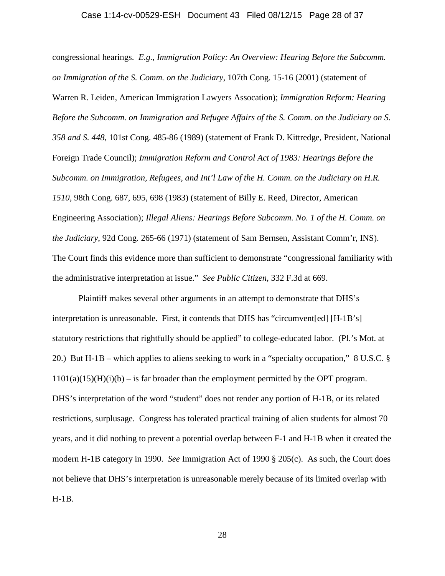#### Case 1:14-cv-00529-ESH Document 43 Filed 08/12/15 Page 28 of 37

congressional hearings. *E.g.*, *Immigration Policy: An Overview: Hearing Before the Subcomm. on Immigration of the S. Comm. on the Judiciary*, 107th Cong. 15-16 (2001) (statement of Warren R. Leiden, American Immigration Lawyers Assocation); *Immigration Reform: Hearing Before the Subcomm. on Immigration and Refugee Affairs of the S. Comm. on the Judiciary on S. 358 and S. 448*, 101st Cong. 485-86 (1989) (statement of Frank D. Kittredge, President, National Foreign Trade Council); *Immigration Reform and Control Act of 1983: Hearings Before the Subcomm. on Immigration, Refugees, and Int'l Law of the H. Comm. on the Judiciary on H.R. 1510*, 98th Cong. 687, 695, 698 (1983) (statement of Billy E. Reed, Director, American Engineering Association); *Illegal Aliens: Hearings Before Subcomm. No. 1 of the H. Comm. on the Judiciary*, 92d Cong. 265-66 (1971) (statement of Sam Bernsen, Assistant Comm'r, INS). The Court finds this evidence more than sufficient to demonstrate "congressional familiarity with the administrative interpretation at issue." *See Public Citizen*, 332 F.3d at 669.

Plaintiff makes several other arguments in an attempt to demonstrate that DHS's interpretation is unreasonable. First, it contends that DHS has "circumvent[ed] [H-1B's] statutory restrictions that rightfully should be applied" to college-educated labor. (Pl.'s Mot. at 20.) But H-1B – which applies to aliens seeking to work in a "specialty occupation," 8 U.S.C. §  $1101(a)(15)(H)(i)$  – is far broader than the employment permitted by the OPT program. DHS's interpretation of the word "student" does not render any portion of H-1B, or its related restrictions, surplusage. Congress has tolerated practical training of alien students for almost 70 years, and it did nothing to prevent a potential overlap between F-1 and H-1B when it created the modern H-1B category in 1990. *See* Immigration Act of 1990 § 205(c). As such, the Court does not believe that DHS's interpretation is unreasonable merely because of its limited overlap with H-1B.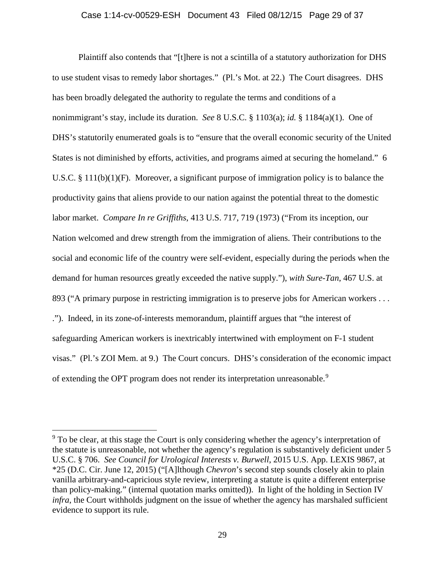## Case 1:14-cv-00529-ESH Document 43 Filed 08/12/15 Page 29 of 37

Plaintiff also contends that "[t]here is not a scintilla of a statutory authorization for DHS to use student visas to remedy labor shortages." (Pl.'s Mot. at 22.) The Court disagrees. DHS has been broadly delegated the authority to regulate the terms and conditions of a nonimmigrant's stay, include its duration. *See* 8 U.S.C. § 1103(a); *id.* § 1184(a)(1). One of DHS's statutorily enumerated goals is to "ensure that the overall economic security of the United States is not diminished by efforts, activities, and programs aimed at securing the homeland." 6 U.S.C. § 111(b)(1)(F). Moreover, a significant purpose of immigration policy is to balance the productivity gains that aliens provide to our nation against the potential threat to the domestic labor market. *Compare In re Griffiths*, 413 U.S. 717, 719 (1973) ("From its inception, our Nation welcomed and drew strength from the immigration of aliens. Their contributions to the social and economic life of the country were self-evident, especially during the periods when the demand for human resources greatly exceeded the native supply."), *with Sure-Tan*, 467 U.S. at 893 ("A primary purpose in restricting immigration is to preserve jobs for American workers ... ."). Indeed, in its zone-of-interests memorandum, plaintiff argues that "the interest of safeguarding American workers is inextricably intertwined with employment on F-1 student visas." (Pl.'s ZOI Mem. at 9.) The Court concurs. DHS's consideration of the economic impact of extending the OPT program does not render its interpretation unreasonable.<sup>[9](#page-28-0)</sup>

<span id="page-28-0"></span> $9<sup>9</sup>$  To be clear, at this stage the Court is only considering whether the agency's interpretation of the statute is unreasonable, not whether the agency's regulation is substantively deficient under 5 U.S.C. § 706. *See Council for Urological Interests v. Burwell*, 2015 U.S. App. LEXIS 9867, at \*25 (D.C. Cir. June 12, 2015) ("[A]lthough *Chevron*'s second step sounds closely akin to plain vanilla arbitrary-and-capricious style review, interpreting a statute is quite a different enterprise than policy-making." (internal quotation marks omitted)). In light of the holding in Section IV *infra*, the Court withholds judgment on the issue of whether the agency has marshaled sufficient evidence to support its rule.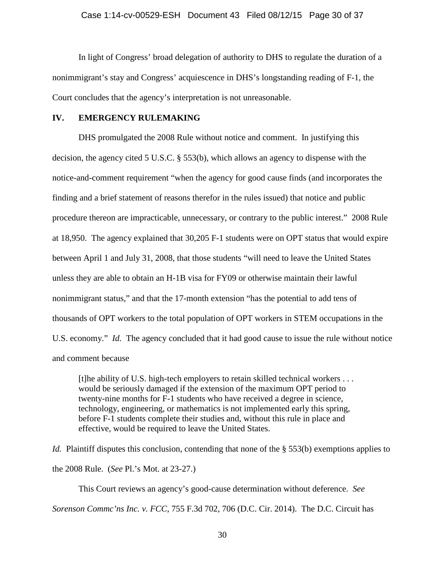In light of Congress' broad delegation of authority to DHS to regulate the duration of a nonimmigrant's stay and Congress' acquiescence in DHS's longstanding reading of F-1, the Court concludes that the agency's interpretation is not unreasonable.

## **IV. EMERGENCY RULEMAKING**

DHS promulgated the 2008 Rule without notice and comment. In justifying this decision, the agency cited 5 U.S.C. § 553(b), which allows an agency to dispense with the notice-and-comment requirement "when the agency for good cause finds (and incorporates the finding and a brief statement of reasons therefor in the rules issued) that notice and public procedure thereon are impracticable, unnecessary, or contrary to the public interest." 2008 Rule at 18,950. The agency explained that 30,205 F-1 students were on OPT status that would expire between April 1 and July 31, 2008, that those students "will need to leave the United States unless they are able to obtain an H-1B visa for FY09 or otherwise maintain their lawful nonimmigrant status," and that the 17-month extension "has the potential to add tens of thousands of OPT workers to the total population of OPT workers in STEM occupations in the U.S. economy." *Id.* The agency concluded that it had good cause to issue the rule without notice and comment because

[t]he ability of U.S. high-tech employers to retain skilled technical workers . . . would be seriously damaged if the extension of the maximum OPT period to twenty-nine months for F-1 students who have received a degree in science, technology, engineering, or mathematics is not implemented early this spring, before F-1 students complete their studies and, without this rule in place and effective, would be required to leave the United States.

*Id.* Plaintiff disputes this conclusion, contending that none of the § 553(b) exemptions applies to the 2008 Rule. (*See* Pl.'s Mot. at 23-27.)

This Court reviews an agency's good-cause determination without deference. *See Sorenson Commc'ns Inc. v. FCC*, 755 F.3d 702, 706 (D.C. Cir. 2014). The D.C. Circuit has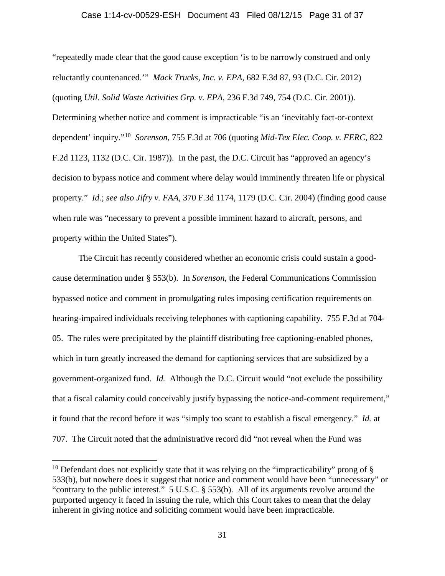#### Case 1:14-cv-00529-ESH Document 43 Filed 08/12/15 Page 31 of 37

"repeatedly made clear that the good cause exception 'is to be narrowly construed and only reluctantly countenanced.'" *Mack Trucks, Inc. v. EPA*, 682 F.3d 87, 93 (D.C. Cir. 2012) (quoting *Util. Solid Waste Activities Grp. v. EPA*, 236 F.3d 749, 754 (D.C. Cir. 2001)). Determining whether notice and comment is impracticable "is an 'inevitably fact-or-context dependent' inquiry."[10](#page-30-0) *Sorenson*, 755 F.3d at 706 (quoting *Mid-Tex Elec. Coop. v. FERC*, 822 F.2d 1123, 1132 (D.C. Cir. 1987)). In the past, the D.C. Circuit has "approved an agency's decision to bypass notice and comment where delay would imminently threaten life or physical property." *Id.*; *see also Jifry v. FAA*, 370 F.3d 1174, 1179 (D.C. Cir. 2004) (finding good cause when rule was "necessary to prevent a possible imminent hazard to aircraft, persons, and property within the United States").

The Circuit has recently considered whether an economic crisis could sustain a goodcause determination under § 553(b). In *Sorenson*, the Federal Communications Commission bypassed notice and comment in promulgating rules imposing certification requirements on hearing-impaired individuals receiving telephones with captioning capability. 755 F.3d at 704- 05. The rules were precipitated by the plaintiff distributing free captioning-enabled phones, which in turn greatly increased the demand for captioning services that are subsidized by a government-organized fund. *Id.* Although the D.C. Circuit would "not exclude the possibility that a fiscal calamity could conceivably justify bypassing the notice-and-comment requirement," it found that the record before it was "simply too scant to establish a fiscal emergency." *Id.* at 707. The Circuit noted that the administrative record did "not reveal when the Fund was

<span id="page-30-0"></span><sup>&</sup>lt;sup>10</sup> Defendant does not explicitly state that it was relying on the "impracticability" prong of  $\S$ 533(b), but nowhere does it suggest that notice and comment would have been "unnecessary" or "contrary to the public interest." 5 U.S.C. § 553(b). All of its arguments revolve around the purported urgency it faced in issuing the rule, which this Court takes to mean that the delay inherent in giving notice and soliciting comment would have been impracticable.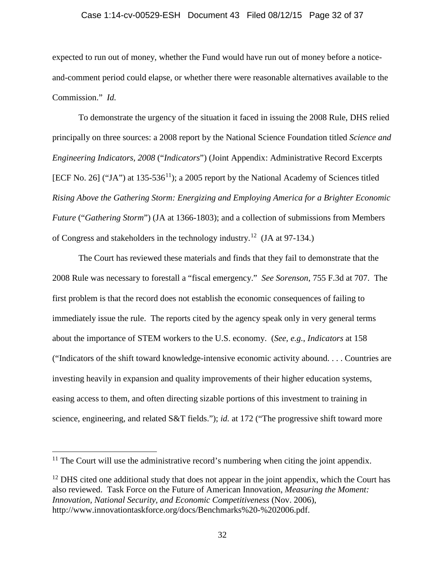## Case 1:14-cv-00529-ESH Document 43 Filed 08/12/15 Page 32 of 37

expected to run out of money, whether the Fund would have run out of money before a noticeand-comment period could elapse, or whether there were reasonable alternatives available to the Commission." *Id.*

To demonstrate the urgency of the situation it faced in issuing the 2008 Rule, DHS relied principally on three sources: a 2008 report by the National Science Foundation titled *Science and Engineering Indicators, 2008* ("*Indicators*") (Joint Appendix: Administrative Record Excerpts [ECF No. 26] ("JA") at 135-536<sup>[11](#page-31-0)</sup>); a 2005 report by the National Academy of Sciences titled *Rising Above the Gathering Storm: Energizing and Employing America for a Brighter Economic Future* ("*Gathering Storm*") (JA at 1366-1803); and a collection of submissions from Members of Congress and stakeholders in the technology industry.[12](#page-31-1) (JA at 97-134.)

The Court has reviewed these materials and finds that they fail to demonstrate that the 2008 Rule was necessary to forestall a "fiscal emergency." *See Sorenson*, 755 F.3d at 707. The first problem is that the record does not establish the economic consequences of failing to immediately issue the rule. The reports cited by the agency speak only in very general terms about the importance of STEM workers to the U.S. economy. (*See, e.g.*, *Indicators* at 158 ("Indicators of the shift toward knowledge-intensive economic activity abound. . . . Countries are investing heavily in expansion and quality improvements of their higher education systems, easing access to them, and often directing sizable portions of this investment to training in science, engineering, and related S&T fields."); *id.* at 172 ("The progressive shift toward more

<span id="page-31-0"></span> $11$  The Court will use the administrative record's numbering when citing the joint appendix.

<span id="page-31-1"></span> $12$  DHS cited one additional study that does not appear in the joint appendix, which the Court has also reviewed. Task Force on the Future of American Innovation, *Measuring the Moment: Innovation, National Security, and Economic Competitiveness* (Nov. 2006), http://www.innovationtaskforce.org/docs/Benchmarks%20-%202006.pdf.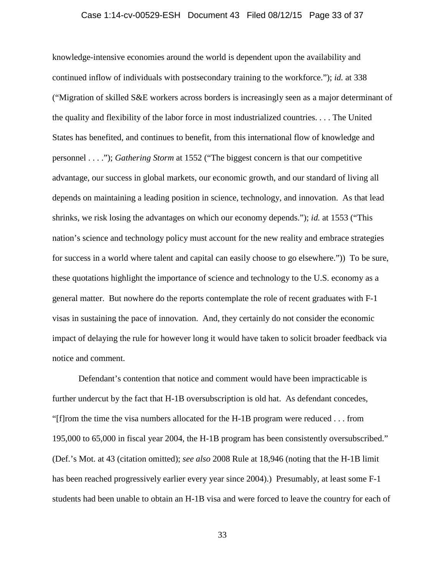## Case 1:14-cv-00529-ESH Document 43 Filed 08/12/15 Page 33 of 37

knowledge-intensive economies around the world is dependent upon the availability and continued inflow of individuals with postsecondary training to the workforce."); *id.* at 338 ("Migration of skilled S&E workers across borders is increasingly seen as a major determinant of the quality and flexibility of the labor force in most industrialized countries. . . . The United States has benefited, and continues to benefit, from this international flow of knowledge and personnel . . . ."); *Gathering Storm* at 1552 ("The biggest concern is that our competitive advantage, our success in global markets, our economic growth, and our standard of living all depends on maintaining a leading position in science, technology, and innovation. As that lead shrinks, we risk losing the advantages on which our economy depends."); *id.* at 1553 ("This nation's science and technology policy must account for the new reality and embrace strategies for success in a world where talent and capital can easily choose to go elsewhere.")) To be sure, these quotations highlight the importance of science and technology to the U.S. economy as a general matter. But nowhere do the reports contemplate the role of recent graduates with F-1 visas in sustaining the pace of innovation. And, they certainly do not consider the economic impact of delaying the rule for however long it would have taken to solicit broader feedback via notice and comment.

Defendant's contention that notice and comment would have been impracticable is further undercut by the fact that H-1B oversubscription is old hat. As defendant concedes, "[f]rom the time the visa numbers allocated for the H-1B program were reduced . . . from 195,000 to 65,000 in fiscal year 2004, the H-1B program has been consistently oversubscribed." (Def.'s Mot. at 43 (citation omitted); *see also* 2008 Rule at 18,946 (noting that the H-1B limit has been reached progressively earlier every year since 2004).) Presumably, at least some F-1 students had been unable to obtain an H-1B visa and were forced to leave the country for each of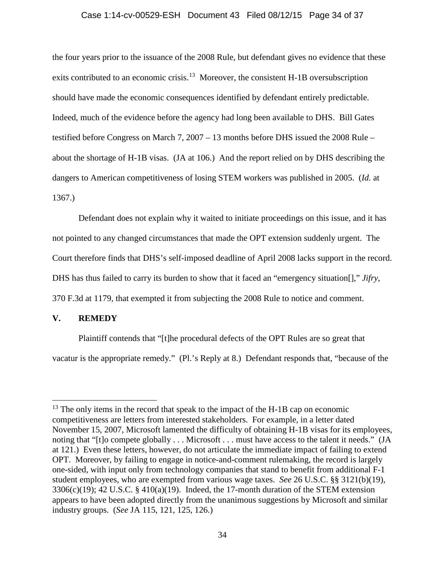## Case 1:14-cv-00529-ESH Document 43 Filed 08/12/15 Page 34 of 37

the four years prior to the issuance of the 2008 Rule, but defendant gives no evidence that these exits contributed to an economic crisis.<sup>13</sup> Moreover, the consistent H-1B oversubscription should have made the economic consequences identified by defendant entirely predictable. Indeed, much of the evidence before the agency had long been available to DHS. Bill Gates testified before Congress on March 7, 2007 – 13 months before DHS issued the 2008 Rule – about the shortage of H-1B visas. (JA at 106.) And the report relied on by DHS describing the dangers to American competitiveness of losing STEM workers was published in 2005. (*Id.* at 1367.)

Defendant does not explain why it waited to initiate proceedings on this issue, and it has not pointed to any changed circumstances that made the OPT extension suddenly urgent. The Court therefore finds that DHS's self-imposed deadline of April 2008 lacks support in the record. DHS has thus failed to carry its burden to show that it faced an "emergency situation[]," *Jifry*, 370 F.3d at 1179, that exempted it from subjecting the 2008 Rule to notice and comment.

# **V. REMEDY**

Plaintiff contends that "[t]he procedural defects of the OPT Rules are so great that vacatur is the appropriate remedy." (Pl.'s Reply at 8.) Defendant responds that, "because of the

<span id="page-33-0"></span> $13$  The only items in the record that speak to the impact of the H-1B cap on economic competitiveness are letters from interested stakeholders. For example, in a letter dated November 15, 2007, Microsoft lamented the difficulty of obtaining H-1B visas for its employees, noting that "[t]o compete globally . . . Microsoft . . . must have access to the talent it needs." (JA at 121.) Even these letters, however, do not articulate the immediate impact of failing to extend OPT. Moreover, by failing to engage in notice-and-comment rulemaking, the record is largely one-sided, with input only from technology companies that stand to benefit from additional F-1 student employees, who are exempted from various wage taxes. *See* 26 U.S.C. §§ 3121(b)(19),  $3306(c)(19)$ ; 42 U.S.C. § 410(a)(19). Indeed, the 17-month duration of the STEM extension appears to have been adopted directly from the unanimous suggestions by Microsoft and similar industry groups. (*See* JA 115, 121, 125, 126.)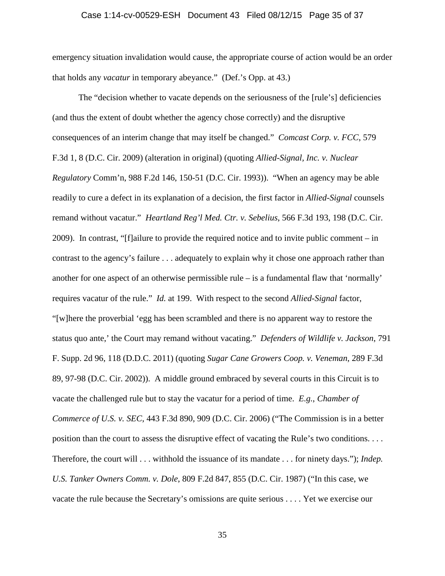## Case 1:14-cv-00529-ESH Document 43 Filed 08/12/15 Page 35 of 37

emergency situation invalidation would cause, the appropriate course of action would be an order that holds any *vacatur* in temporary abeyance." (Def.'s Opp. at 43.)

The "decision whether to vacate depends on the seriousness of the [rule's] deficiencies (and thus the extent of doubt whether the agency chose correctly) and the disruptive consequences of an interim change that may itself be changed." *Comcast Corp. v. FCC*, 579 F.3d 1, 8 (D.C. Cir. 2009) (alteration in original) (quoting *Allied-Signal, Inc. v. Nuclear Regulatory* Comm'n, 988 F.2d 146, 150-51 (D.C. Cir. 1993)). "When an agency may be able readily to cure a defect in its explanation of a decision, the first factor in *Allied-Signal* counsels remand without vacatur." *Heartland Reg'l Med. Ctr. v. Sebelius*, 566 F.3d 193, 198 (D.C. Cir. 2009). In contrast, "[f]ailure to provide the required notice and to invite public comment – in contrast to the agency's failure . . . adequately to explain why it chose one approach rather than another for one aspect of an otherwise permissible rule – is a fundamental flaw that 'normally' requires vacatur of the rule." *Id.* at 199. With respect to the second *Allied-Signal* factor, "[w]here the proverbial 'egg has been scrambled and there is no apparent way to restore the status quo ante,' the Court may remand without vacating." *Defenders of Wildlife v. Jackson*, 791 F. Supp. 2d 96, 118 (D.D.C. 2011) (quoting *Sugar Cane Growers Coop. v. Veneman*, 289 F.3d 89, 97-98 (D.C. Cir. 2002)). A middle ground embraced by several courts in this Circuit is to vacate the challenged rule but to stay the vacatur for a period of time. *E.g.*, *Chamber of Commerce of U.S. v. SEC*, 443 F.3d 890, 909 (D.C. Cir. 2006) ("The Commission is in a better position than the court to assess the disruptive effect of vacating the Rule's two conditions. . . . Therefore, the court will . . . withhold the issuance of its mandate . . . for ninety days."); *Indep. U.S. Tanker Owners Comm. v. Dole*, 809 F.2d 847, 855 (D.C. Cir. 1987) ("In this case, we vacate the rule because the Secretary's omissions are quite serious . . . . Yet we exercise our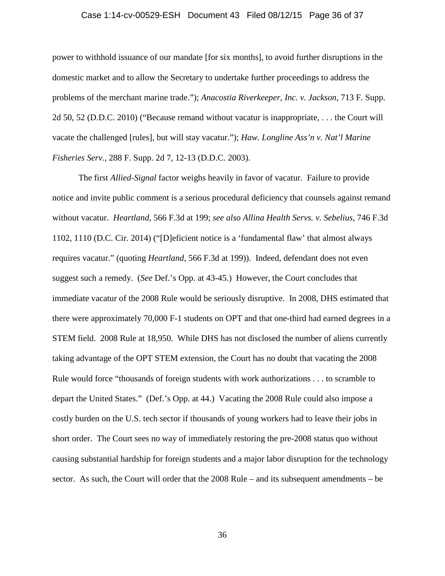## Case 1:14-cv-00529-ESH Document 43 Filed 08/12/15 Page 36 of 37

power to withhold issuance of our mandate [for six months], to avoid further disruptions in the domestic market and to allow the Secretary to undertake further proceedings to address the problems of the merchant marine trade."); *Anacostia Riverkeeper, Inc. v. Jackson*, 713 F. Supp. 2d 50, 52 (D.D.C. 2010) ("Because remand without vacatur is inappropriate, . . . the Court will vacate the challenged [rules], but will stay vacatur."); *Haw. Longline Ass'n v. Nat'l Marine Fisheries Serv.*, 288 F. Supp. 2d 7, 12-13 (D.D.C. 2003).

The first *Allied-Signal* factor weighs heavily in favor of vacatur. Failure to provide notice and invite public comment is a serious procedural deficiency that counsels against remand without vacatur. *Heartland*, 566 F.3d at 199; *see also Allina Health Servs. v. Sebelius*, 746 F.3d 1102, 1110 (D.C. Cir. 2014) ("[D]eficient notice is a 'fundamental flaw' that almost always requires vacatur." (quoting *Heartland*, 566 F.3d at 199)). Indeed, defendant does not even suggest such a remedy. (*See* Def.'s Opp. at 43-45.) However, the Court concludes that immediate vacatur of the 2008 Rule would be seriously disruptive. In 2008, DHS estimated that there were approximately 70,000 F-1 students on OPT and that one-third had earned degrees in a STEM field. 2008 Rule at 18,950. While DHS has not disclosed the number of aliens currently taking advantage of the OPT STEM extension, the Court has no doubt that vacating the 2008 Rule would force "thousands of foreign students with work authorizations . . . to scramble to depart the United States." (Def.'s Opp. at 44.) Vacating the 2008 Rule could also impose a costly burden on the U.S. tech sector if thousands of young workers had to leave their jobs in short order. The Court sees no way of immediately restoring the pre-2008 status quo without causing substantial hardship for foreign students and a major labor disruption for the technology sector. As such, the Court will order that the 2008 Rule – and its subsequent amendments – be